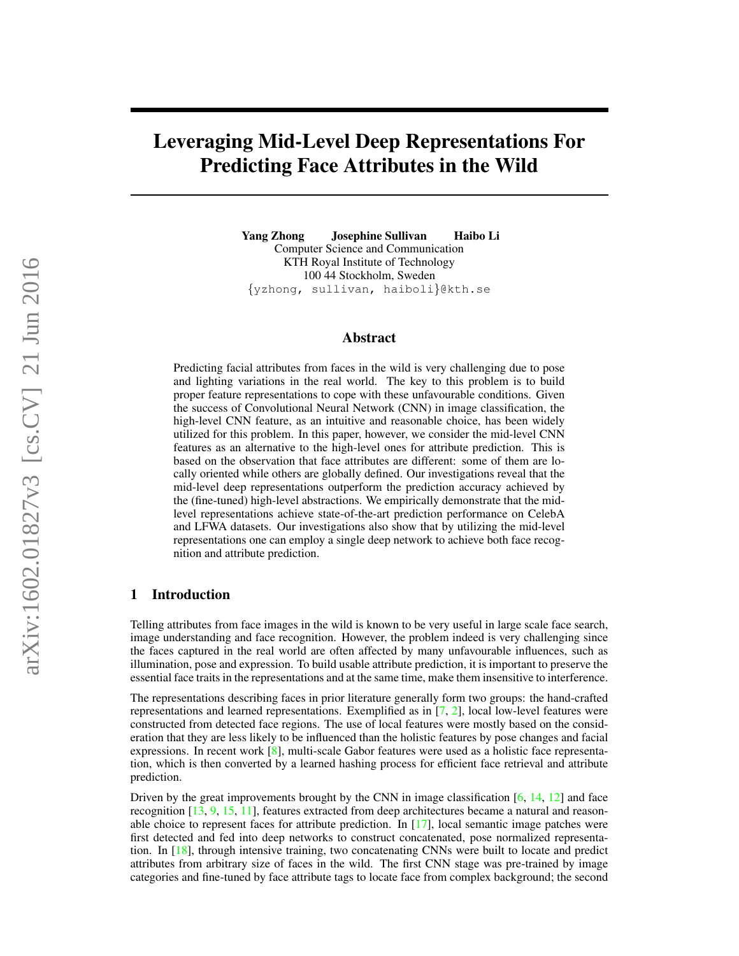# Leveraging Mid-Level Deep Representations For Predicting Face Attributes in the Wild

Yang Zhong Josephine Sullivan Haibo Li Computer Science and Communication KTH Royal Institute of Technology 100 44 Stockholm, Sweden {yzhong, sullivan, haiboli}@kth.se

### Abstract

Predicting facial attributes from faces in the wild is very challenging due to pose and lighting variations in the real world. The key to this problem is to build proper feature representations to cope with these unfavourable conditions. Given the success of Convolutional Neural Network (CNN) in image classification, the high-level CNN feature, as an intuitive and reasonable choice, has been widely utilized for this problem. In this paper, however, we consider the mid-level CNN features as an alternative to the high-level ones for attribute prediction. This is based on the observation that face attributes are different: some of them are locally oriented while others are globally defined. Our investigations reveal that the mid-level deep representations outperform the prediction accuracy achieved by the (fine-tuned) high-level abstractions. We empirically demonstrate that the midlevel representations achieve state-of-the-art prediction performance on CelebA and LFWA datasets. Our investigations also show that by utilizing the mid-level representations one can employ a single deep network to achieve both face recognition and attribute prediction.

## 1 Introduction

Telling attributes from face images in the wild is known to be very useful in large scale face search, image understanding and face recognition. However, the problem indeed is very challenging since the faces captured in the real world are often affected by many unfavourable influences, such as illumination, pose and expression. To build usable attribute prediction, it is important to preserve the essential face traits in the representations and at the same time, make them insensitive to interference.

The representations describing faces in prior literature generally form two groups: the hand-crafted representations and learned representations. Exemplified as in [\[7,](#page-6-0) [2\]](#page-6-1), local low-level features were constructed from detected face regions. The use of local features were mostly based on the consideration that they are less likely to be influenced than the holistic features by pose changes and facial expressions. In recent work [\[8\]](#page-6-2), multi-scale Gabor features were used as a holistic face representation, which is then converted by a learned hashing process for efficient face retrieval and attribute prediction.

Driven by the great improvements brought by the CNN in image classification  $[6, 14, 12]$  $[6, 14, 12]$  $[6, 14, 12]$  $[6, 14, 12]$  $[6, 14, 12]$  and face recognition  $[13, 9, 15, 11]$  $[13, 9, 15, 11]$  $[13, 9, 15, 11]$  $[13, 9, 15, 11]$  $[13, 9, 15, 11]$  $[13, 9, 15, 11]$  $[13, 9, 15, 11]$ , features extracted from deep architectures became a natural and reasonable choice to represent faces for attribute prediction. In  $[17]$ , local semantic image patches were first detected and fed into deep networks to construct concatenated, pose normalized representation. In [\[18\]](#page-7-5), through intensive training, two concatenating CNNs were built to locate and predict attributes from arbitrary size of faces in the wild. The first CNN stage was pre-trained by image categories and fine-tuned by face attribute tags to locate face from complex background; the second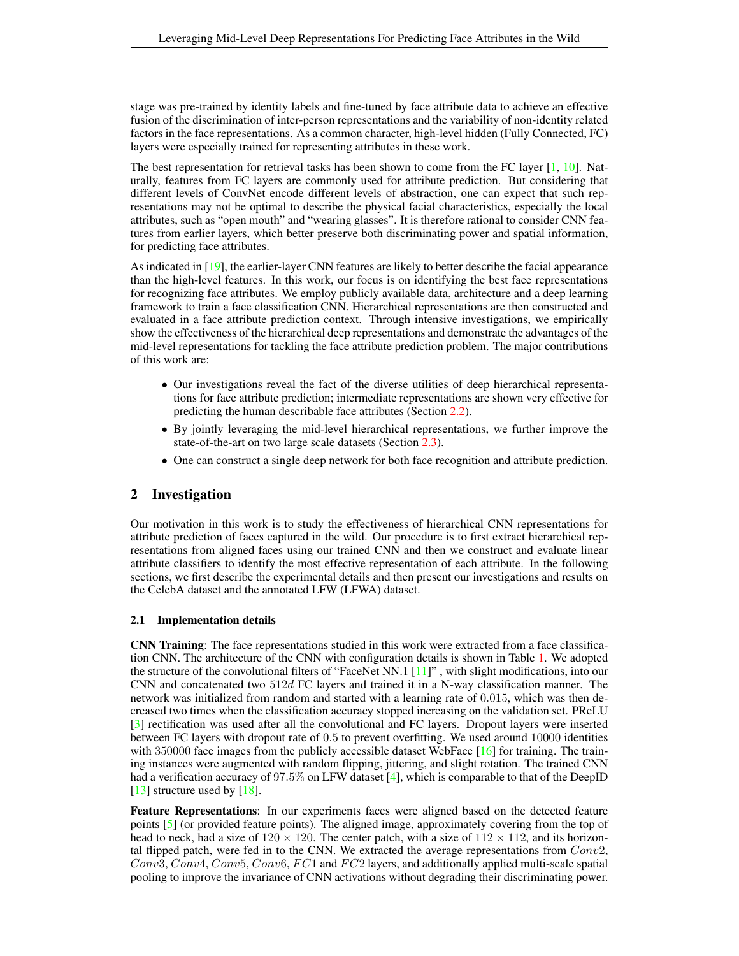stage was pre-trained by identity labels and fine-tuned by face attribute data to achieve an effective fusion of the discrimination of inter-person representations and the variability of non-identity related factors in the face representations. As a common character, high-level hidden (Fully Connected, FC) layers were especially trained for representing attributes in these work.

The best representation for retrieval tasks has been shown to come from the FC layer  $[1, 10]$  $[1, 10]$  $[1, 10]$ . Naturally, features from FC layers are commonly used for attribute prediction. But considering that different levels of ConvNet encode different levels of abstraction, one can expect that such representations may not be optimal to describe the physical facial characteristics, especially the local attributes, such as "open mouth" and "wearing glasses". It is therefore rational to consider CNN features from earlier layers, which better preserve both discriminating power and spatial information, for predicting face attributes.

As indicated in [\[19\]](#page-7-6), the earlier-layer CNN features are likely to better describe the facial appearance than the high-level features. In this work, our focus is on identifying the best face representations for recognizing face attributes. We employ publicly available data, architecture and a deep learning framework to train a face classification CNN. Hierarchical representations are then constructed and evaluated in a face attribute prediction context. Through intensive investigations, we empirically show the effectiveness of the hierarchical deep representations and demonstrate the advantages of the mid-level representations for tackling the face attribute prediction problem. The major contributions of this work are:

- Our investigations reveal the fact of the diverse utilities of deep hierarchical representations for face attribute prediction; intermediate representations are shown very effective for predicting the human describable face attributes (Section [2.2\)](#page-2-0).
- By jointly leveraging the mid-level hierarchical representations, we further improve the state-of-the-art on two large scale datasets (Section [2.3\)](#page-2-1).
- One can construct a single deep network for both face recognition and attribute prediction.

## 2 Investigation

Our motivation in this work is to study the effectiveness of hierarchical CNN representations for attribute prediction of faces captured in the wild. Our procedure is to first extract hierarchical representations from aligned faces using our trained CNN and then we construct and evaluate linear attribute classifiers to identify the most effective representation of each attribute. In the following sections, we first describe the experimental details and then present our investigations and results on the CelebA dataset and the annotated LFW (LFWA) dataset.

#### 2.1 Implementation details

CNN Training: The face representations studied in this work were extracted from a face classification CNN. The architecture of the CNN with configuration details is shown in Table [1.](#page-2-2) We adopted the structure of the convolutional filters of "FaceNet NN.1 [\[11\]](#page-6-5)" , with slight modifications, into our CNN and concatenated two 512d FC layers and trained it in a N-way classification manner. The network was initialized from random and started with a learning rate of 0.015, which was then decreased two times when the classification accuracy stopped increasing on the validation set. PReLU [\[3\]](#page-6-8) rectification was used after all the convolutional and FC layers. Dropout layers were inserted between FC layers with dropout rate of 0.5 to prevent overfitting. We used around 10000 identities with 350000 face images from the publicly accessible dataset WebFace [\[16\]](#page-7-7) for training. The training instances were augmented with random flipping, jittering, and slight rotation. The trained CNN had a verification accuracy of 97.5% on LFW dataset [\[4\]](#page-6-9), which is comparable to that of the DeepID [\[13\]](#page-7-2) structure used by [\[18\]](#page-7-5).

Feature Representations: In our experiments faces were aligned based on the detected feature points [\[5\]](#page-6-10) (or provided feature points). The aligned image, approximately covering from the top of head to neck, had a size of  $120 \times 120$ . The center patch, with a size of  $112 \times 112$ , and its horizontal flipped patch, were fed in to the CNN. We extracted the average representations from  $Conv2$ , Conv3, Conv4, Conv5, Conv6, FC1 and FC2 layers, and additionally applied multi-scale spatial pooling to improve the invariance of CNN activations without degrading their discriminating power.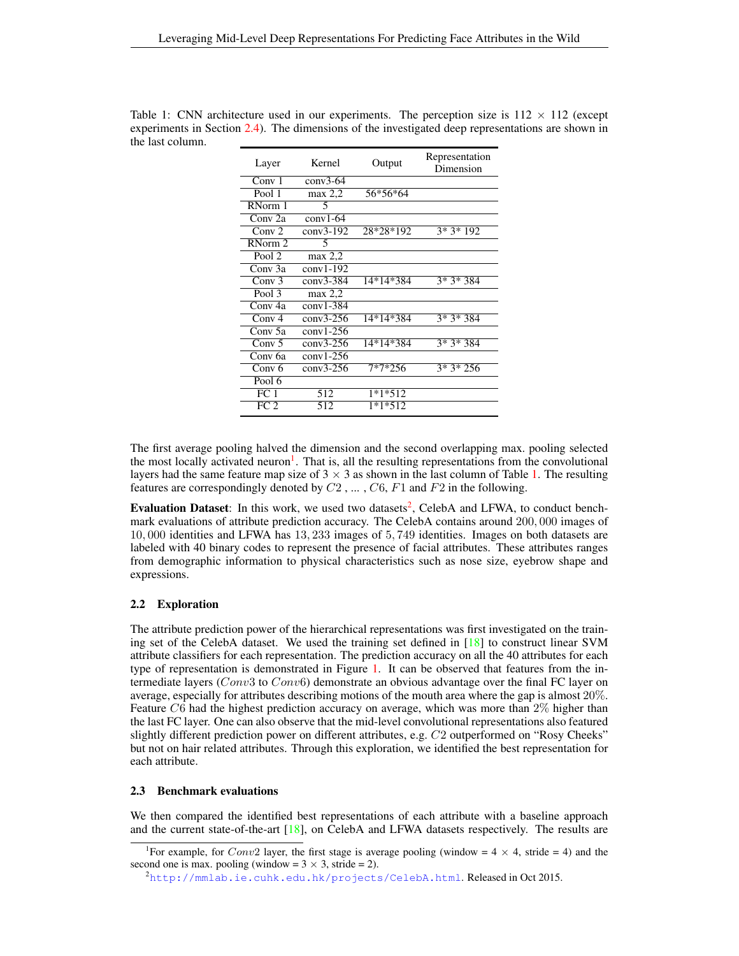| Layer              | Kernel                 | Output    | Representation<br>Dimension |  |
|--------------------|------------------------|-----------|-----------------------------|--|
| Conv 1             | $conv3-64$             |           |                             |  |
| Pool 1             | max 2.2                | 56*56*64  |                             |  |
| RNorm 1            | 5                      |           |                             |  |
| Conv <sub>2a</sub> | $conv1-64$             |           |                             |  |
| Conv 2             | $conv3-192$            | 28*28*192 | $3*3*192$                   |  |
| RNorm 2            | 5                      |           |                             |  |
| Pool 2             | max 2,2                |           |                             |  |
| Conv <sub>3a</sub> | $conv1-192$            |           |                             |  |
| Conv 3             | $conv3-384$            | 14*14*384 | $3*3*384$                   |  |
| Pool 3             | max 2.2                |           |                             |  |
| Conv <sub>4a</sub> | $conv1-384$            |           |                             |  |
| Conv <sub>4</sub>  | $conv3-256$            | 14*14*384 | $3*3*384$                   |  |
| Conv <sub>5a</sub> | $conv1-256$            |           |                             |  |
| Conv $5$           | $conv3-2\overline{56}$ | 14*14*384 | $3*3*384$                   |  |
| Conv <sub>6a</sub> | $conv1-256$            |           |                             |  |
| Conv <sub>6</sub>  | $conv3-256$            | $7*7*256$ | $3*3*256$                   |  |
| Pool 6             |                        |           |                             |  |
| FC <sub>1</sub>    | 512                    | $1*1*512$ |                             |  |
| FC <sub>2</sub>    | 512                    | $1*1*512$ |                             |  |

<span id="page-2-2"></span>Table 1: CNN architecture used in our experiments. The perception size is  $112 \times 112$  (except experiments in Section [2.4\)](#page-5-0). The dimensions of the investigated deep representations are shown in the last column.

The first average pooling halved the dimension and the second overlapping max. pooling selected the most locally activated neuron<sup>[1](#page-2-3)</sup>. That is, all the resulting representations from the convolutional layers had the same feature map size of  $3 \times 3$  as shown in the last column of Table [1.](#page-2-2) The resulting features are correspondingly denoted by  $C_2$ , ...,  $C_6$ ,  $F_1$  and  $F_2$  in the following.

Evaluation Dataset: In this work, we used two datasets<sup>[2](#page-2-4)</sup>, CelebA and LFWA, to conduct benchmark evaluations of attribute prediction accuracy. The CelebA contains around 200, 000 images of 10, 000 identities and LFWA has 13, 233 images of 5, 749 identities. Images on both datasets are labeled with 40 binary codes to represent the presence of facial attributes. These attributes ranges from demographic information to physical characteristics such as nose size, eyebrow shape and expressions.

#### <span id="page-2-0"></span>2.2 Exploration

The attribute prediction power of the hierarchical representations was first investigated on the training set of the CelebA dataset. We used the training set defined in [\[18\]](#page-7-5) to construct linear SVM attribute classifiers for each representation. The prediction accuracy on all the 40 attributes for each type of representation is demonstrated in Figure [1.](#page-3-0) It can be observed that features from the intermediate layers ( $Conv3$  to  $Conv6$ ) demonstrate an obvious advantage over the final FC layer on average, especially for attributes describing motions of the mouth area where the gap is almost 20%. Feature C6 had the highest prediction accuracy on average, which was more than 2% higher than the last FC layer. One can also observe that the mid-level convolutional representations also featured slightly different prediction power on different attributes, e.g. C2 outperformed on "Rosy Cheeks" but not on hair related attributes. Through this exploration, we identified the best representation for each attribute.

#### <span id="page-2-1"></span>2.3 Benchmark evaluations

We then compared the identified best representations of each attribute with a baseline approach and the current state-of-the-art [\[18\]](#page-7-5), on CelebA and LFWA datasets respectively. The results are

<span id="page-2-3"></span><sup>&</sup>lt;sup>1</sup>For example, for Conv2 layer, the first stage is average pooling (window =  $4 \times 4$ , stride = 4) and the second one is max. pooling (window =  $3 \times 3$ , stride = 2).

<span id="page-2-4"></span><sup>&</sup>lt;sup>2</sup><http://mmlab.ie.cuhk.edu.hk/projects/CelebA.html>. Released in Oct 2015.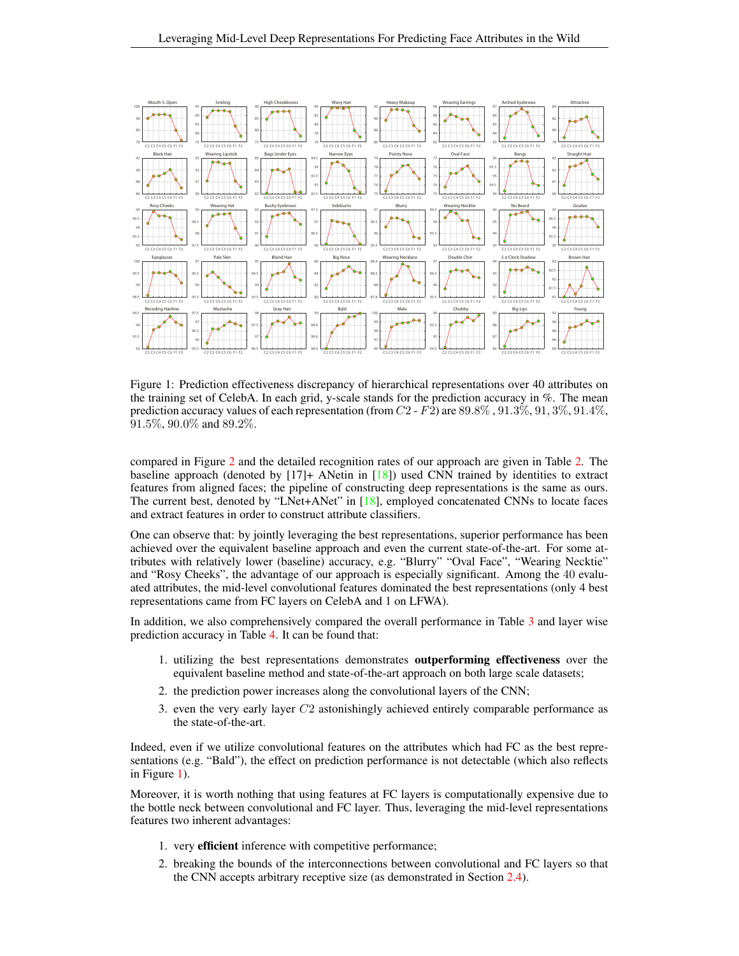

<span id="page-3-0"></span>Figure 1: Prediction effectiveness discrepancy of hierarchical representations over 40 attributes on the training set of CelebA. In each grid, y-scale stands for the prediction accuracy in %. The mean prediction accuracy values of each representation (from  $C2 - F2$ ) are  $89.8\%$ ,  $91.3\%, 91.3\%, 91.4\%$ , 91.5%, 90.0% and 89.2%.

compared in Figure [2](#page-4-0) and the detailed recognition rates of our approach are given in Table [2.](#page-5-1) The baseline approach (denoted by [17]+ ANetin in [\[18\]](#page-7-5)) used CNN trained by identities to extract features from aligned faces; the pipeline of constructing deep representations is the same as ours. The current best, denoted by "LNet+ANet" in [\[18\]](#page-7-5), employed concatenated CNNs to locate faces and extract features in order to construct attribute classifiers.

One can observe that: by jointly leveraging the best representations, superior performance has been achieved over the equivalent baseline approach and even the current state-of-the-art. For some attributes with relatively lower (baseline) accuracy, e.g. "Blurry" "Oval Face", "Wearing Necktie" and "Rosy Cheeks", the advantage of our approach is especially significant. Among the 40 evaluated attributes, the mid-level convolutional features dominated the best representations (only 4 best representations came from FC layers on CelebA and 1 on LFWA).

In addition, we also comprehensively compared the overall performance in Table [3](#page-5-2) and layer wise prediction accuracy in Table [4.](#page-5-3) It can be found that:

- 1. utilizing the best representations demonstrates outperforming effectiveness over the equivalent baseline method and state-of-the-art approach on both large scale datasets;
- 2. the prediction power increases along the convolutional layers of the CNN;
- 3. even the very early layer C2 astonishingly achieved entirely comparable performance as the state-of-the-art.

Indeed, even if we utilize convolutional features on the attributes which had FC as the best representations (e.g. "Bald"), the effect on prediction performance is not detectable (which also reflects in Figure [1\)](#page-3-0).

Moreover, it is worth nothing that using features at FC layers is computationally expensive due to the bottle neck between convolutional and FC layer. Thus, leveraging the mid-level representations features two inherent advantages:

- 1. very efficient inference with competitive performance;
- 2. breaking the bounds of the interconnections between convolutional and FC layers so that the CNN accepts arbitrary receptive size (as demonstrated in Section [2.4\)](#page-5-0).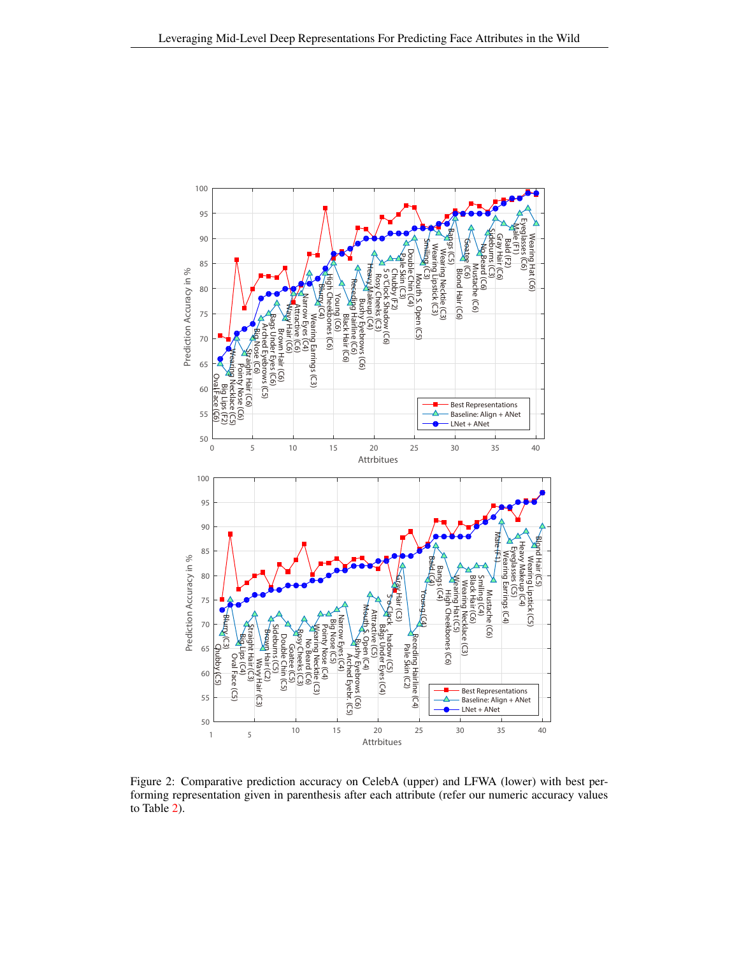

<span id="page-4-0"></span>Figure 2: Comparative prediction accuracy on CelebA (upper) and LFWA (lower) with best performing representation given in parenthesis after each attribute (refer our numeric accuracy values to Table [2\)](#page-5-1).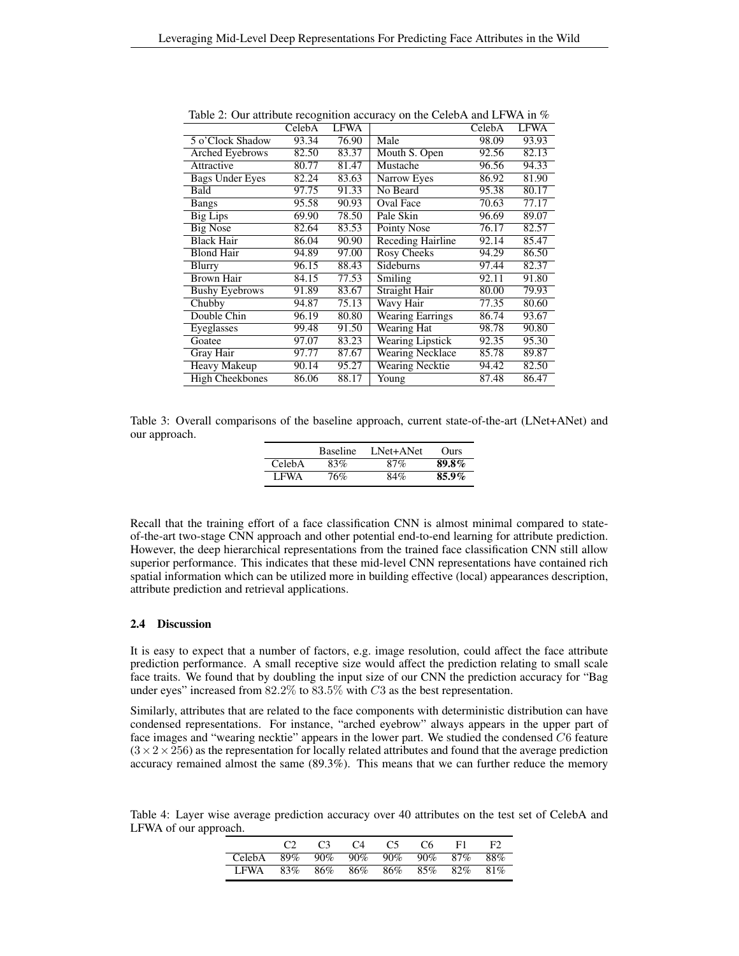|                        | CelebA | <b>LFWA</b> |                          | CelebA | <b>LFWA</b> |
|------------------------|--------|-------------|--------------------------|--------|-------------|
| 5 o'Clock Shadow       | 93.34  | 76.90       | Male                     | 98.09  | 93.93       |
| <b>Arched Eyebrows</b> | 82.50  | 83.37       | Mouth S. Open            | 92.56  | 82.13       |
| Attractive             | 80.77  | 81.47       | Mustache                 | 96.56  | 94.33       |
| <b>Bags Under Eyes</b> | 82.24  | 83.63       | Narrow Eyes              | 86.92  | 81.90       |
| Bald                   | 97.75  | 91.33       | No Beard                 | 95.38  | 80.17       |
| Bangs                  | 95.58  | 90.93       | <b>Oval Face</b>         | 70.63  | 77.17       |
| Big Lips               | 69.90  | 78.50       | Pale Skin                | 96.69  | 89.07       |
| <b>Big Nose</b>        | 82.64  | 83.53       | Pointy Nose              | 76.17  | 82.57       |
| <b>Black Hair</b>      | 86.04  | 90.90       | <b>Receding Hairline</b> | 92.14  | 85.47       |
| <b>Blond Hair</b>      | 94.89  | 97.00       | <b>Rosy Cheeks</b>       | 94.29  | 86.50       |
| Blurry                 | 96.15  | 88.43       | Sideburns                | 97.44  | 82.37       |
| <b>Brown Hair</b>      | 84.15  | 77.53       | Smiling                  | 92.11  | 91.80       |
| <b>Bushy Eyebrows</b>  | 91.89  | 83.67       | <b>Straight Hair</b>     | 80.00  | 79.93       |
| Chubby                 | 94.87  | 75.13       | Wavy Hair                | 77.35  | 80.60       |
| Double Chin            | 96.19  | 80.80       | <b>Wearing Earrings</b>  | 86.74  | 93.67       |
| Eyeglasses             | 99.48  | 91.50       | <b>Wearing Hat</b>       | 98.78  | 90.80       |
| Goatee                 | 97.07  | 83.23       | <b>Wearing Lipstick</b>  | 92.35  | 95.30       |
| Gray Hair              | 97.77  | 87.67       | <b>Wearing Necklace</b>  | 85.78  | 89.87       |
| Heavy Makeup           | 90.14  | 95.27       | <b>Wearing Necktie</b>   | 94.42  | 82.50       |
| <b>High Cheekbones</b> | 86.06  | 88.17       | Young                    | 87.48  | 86.47       |
|                        |        |             |                          |        |             |

<span id="page-5-1"></span>Table 2: Our attribute recognition accuracy on the CelebA and LFWA in %

<span id="page-5-2"></span>Table 3: Overall comparisons of the baseline approach, current state-of-the-art (LNet+ANet) and our approach.

|             | <b>Baseline</b> | LNet+ANet | Ours  |
|-------------|-----------------|-----------|-------|
| CelebA      | 83%             | 87%       | 89.8% |
| <b>LFWA</b> | 76%             | 84%       | 85.9% |

Recall that the training effort of a face classification CNN is almost minimal compared to stateof-the-art two-stage CNN approach and other potential end-to-end learning for attribute prediction. However, the deep hierarchical representations from the trained face classification CNN still allow superior performance. This indicates that these mid-level CNN representations have contained rich spatial information which can be utilized more in building effective (local) appearances description, attribute prediction and retrieval applications.

## <span id="page-5-0"></span>2.4 Discussion

It is easy to expect that a number of factors, e.g. image resolution, could affect the face attribute prediction performance. A small receptive size would affect the prediction relating to small scale face traits. We found that by doubling the input size of our CNN the prediction accuracy for "Bag under eyes" increased from 82.2% to 83.5% with C3 as the best representation.

Similarly, attributes that are related to the face components with deterministic distribution can have condensed representations. For instance, "arched eyebrow" always appears in the upper part of face images and "wearing necktie" appears in the lower part. We studied the condensed C6 feature  $(3\times2\times256)$  as the representation for locally related attributes and found that the average prediction accuracy remained almost the same (89.3%). This means that we can further reduce the memory

<span id="page-5-3"></span>Table 4: Layer wise average prediction accuracy over 40 attributes on the test set of CelebA and LFWA of our approach.

|                                    | C3 | C4 C5 C6 | F1 | F2. |
|------------------------------------|----|----------|----|-----|
| CelebA 89% 90% 90% 90% 90% 87% 88% |    |          |    |     |
| LFWA 83% 86% 86% 86% 85% 82% 81%   |    |          |    |     |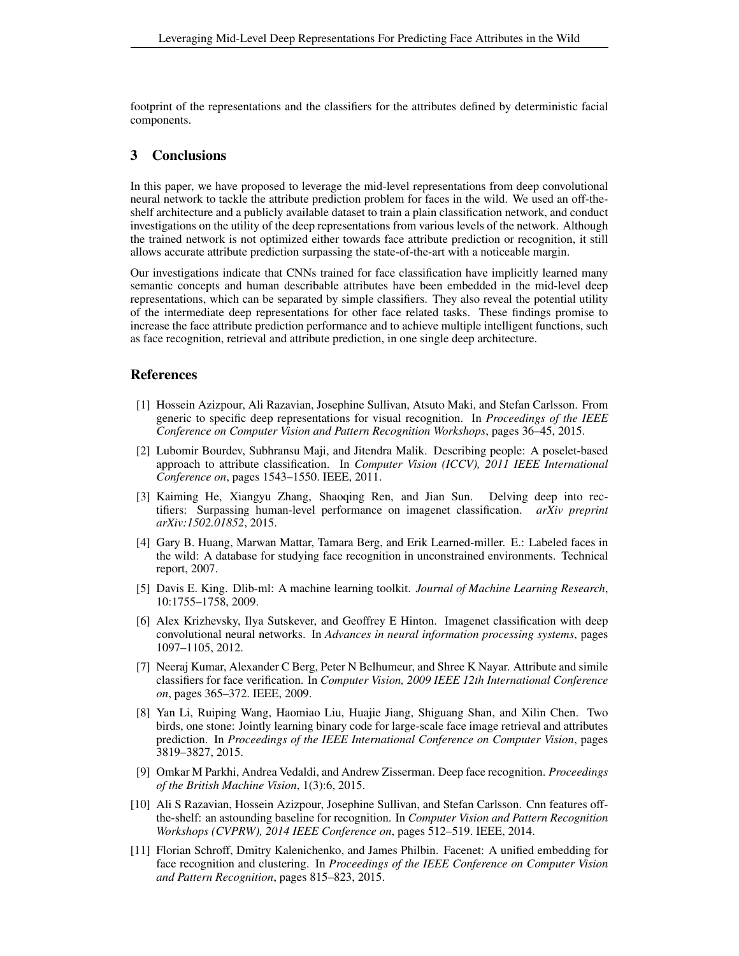footprint of the representations and the classifiers for the attributes defined by deterministic facial components.

### 3 Conclusions

In this paper, we have proposed to leverage the mid-level representations from deep convolutional neural network to tackle the attribute prediction problem for faces in the wild. We used an off-theshelf architecture and a publicly available dataset to train a plain classification network, and conduct investigations on the utility of the deep representations from various levels of the network. Although the trained network is not optimized either towards face attribute prediction or recognition, it still allows accurate attribute prediction surpassing the state-of-the-art with a noticeable margin.

Our investigations indicate that CNNs trained for face classification have implicitly learned many semantic concepts and human describable attributes have been embedded in the mid-level deep representations, which can be separated by simple classifiers. They also reveal the potential utility of the intermediate deep representations for other face related tasks. These findings promise to increase the face attribute prediction performance and to achieve multiple intelligent functions, such as face recognition, retrieval and attribute prediction, in one single deep architecture.

#### References

- <span id="page-6-6"></span>[1] Hossein Azizpour, Ali Razavian, Josephine Sullivan, Atsuto Maki, and Stefan Carlsson. From generic to specific deep representations for visual recognition. In *Proceedings of the IEEE Conference on Computer Vision and Pattern Recognition Workshops*, pages 36–45, 2015.
- <span id="page-6-1"></span>[2] Lubomir Bourdev, Subhransu Maji, and Jitendra Malik. Describing people: A poselet-based approach to attribute classification. In *Computer Vision (ICCV), 2011 IEEE International Conference on*, pages 1543–1550. IEEE, 2011.
- <span id="page-6-8"></span>[3] Kaiming He, Xiangyu Zhang, Shaoqing Ren, and Jian Sun. Delving deep into rectifiers: Surpassing human-level performance on imagenet classification. *arXiv preprint arXiv:1502.01852*, 2015.
- <span id="page-6-9"></span>[4] Gary B. Huang, Marwan Mattar, Tamara Berg, and Erik Learned-miller. E.: Labeled faces in the wild: A database for studying face recognition in unconstrained environments. Technical report, 2007.
- <span id="page-6-10"></span>[5] Davis E. King. Dlib-ml: A machine learning toolkit. *Journal of Machine Learning Research*, 10:1755–1758, 2009.
- <span id="page-6-3"></span>[6] Alex Krizhevsky, Ilya Sutskever, and Geoffrey E Hinton. Imagenet classification with deep convolutional neural networks. In *Advances in neural information processing systems*, pages 1097–1105, 2012.
- <span id="page-6-0"></span>[7] Neeraj Kumar, Alexander C Berg, Peter N Belhumeur, and Shree K Nayar. Attribute and simile classifiers for face verification. In *Computer Vision, 2009 IEEE 12th International Conference on*, pages 365–372. IEEE, 2009.
- <span id="page-6-2"></span>[8] Yan Li, Ruiping Wang, Haomiao Liu, Huajie Jiang, Shiguang Shan, and Xilin Chen. Two birds, one stone: Jointly learning binary code for large-scale face image retrieval and attributes prediction. In *Proceedings of the IEEE International Conference on Computer Vision*, pages 3819–3827, 2015.
- <span id="page-6-4"></span>[9] Omkar M Parkhi, Andrea Vedaldi, and Andrew Zisserman. Deep face recognition. *Proceedings of the British Machine Vision*, 1(3):6, 2015.
- <span id="page-6-7"></span>[10] Ali S Razavian, Hossein Azizpour, Josephine Sullivan, and Stefan Carlsson. Cnn features offthe-shelf: an astounding baseline for recognition. In *Computer Vision and Pattern Recognition Workshops (CVPRW), 2014 IEEE Conference on*, pages 512–519. IEEE, 2014.
- <span id="page-6-5"></span>[11] Florian Schroff, Dmitry Kalenichenko, and James Philbin. Facenet: A unified embedding for face recognition and clustering. In *Proceedings of the IEEE Conference on Computer Vision and Pattern Recognition*, pages 815–823, 2015.